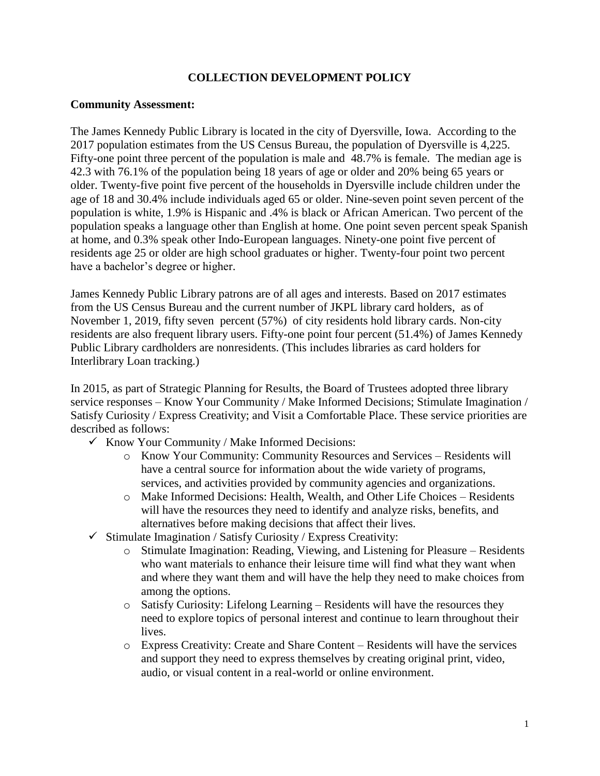## **COLLECTION DEVELOPMENT POLICY**

#### **Community Assessment:**

The James Kennedy Public Library is located in the city of Dyersville, Iowa. According to the 2017 population estimates from the US Census Bureau, the population of Dyersville is 4,225. Fifty-one point three percent of the population is male and 48.7% is female. The median age is 42.3 with 76.1% of the population being 18 years of age or older and 20% being 65 years or older. Twenty-five point five percent of the households in Dyersville include children under the age of 18 and 30.4% include individuals aged 65 or older. Nine-seven point seven percent of the population is white, 1.9% is Hispanic and .4% is black or African American. Two percent of the population speaks a language other than English at home. One point seven percent speak Spanish at home, and 0.3% speak other Indo-European languages. Ninety-one point five percent of residents age 25 or older are high school graduates or higher. Twenty-four point two percent have a bachelor's degree or higher.

James Kennedy Public Library patrons are of all ages and interests. Based on 2017 estimates from the US Census Bureau and the current number of JKPL library card holders, as of November 1, 2019, fifty seven percent (57%) of city residents hold library cards. Non-city residents are also frequent library users. Fifty-one point four percent (51.4%) of James Kennedy Public Library cardholders are nonresidents. (This includes libraries as card holders for Interlibrary Loan tracking.)

In 2015, as part of Strategic Planning for Results, the Board of Trustees adopted three library service responses – Know Your Community / Make Informed Decisions; Stimulate Imagination / Satisfy Curiosity / Express Creativity; and Visit a Comfortable Place. These service priorities are described as follows:

- $\checkmark$  Know Your Community / Make Informed Decisions:
	- o Know Your Community: Community Resources and Services Residents will have a central source for information about the wide variety of programs, services, and activities provided by community agencies and organizations.
	- o Make Informed Decisions: Health, Wealth, and Other Life Choices Residents will have the resources they need to identify and analyze risks, benefits, and alternatives before making decisions that affect their lives.
- $\checkmark$  Stimulate Imagination / Satisfy Curiosity / Express Creativity:
	- o Stimulate Imagination: Reading, Viewing, and Listening for Pleasure Residents who want materials to enhance their leisure time will find what they want when and where they want them and will have the help they need to make choices from among the options.
	- o Satisfy Curiosity: Lifelong Learning Residents will have the resources they need to explore topics of personal interest and continue to learn throughout their lives.
	- o Express Creativity: Create and Share Content Residents will have the services and support they need to express themselves by creating original print, video, audio, or visual content in a real-world or online environment.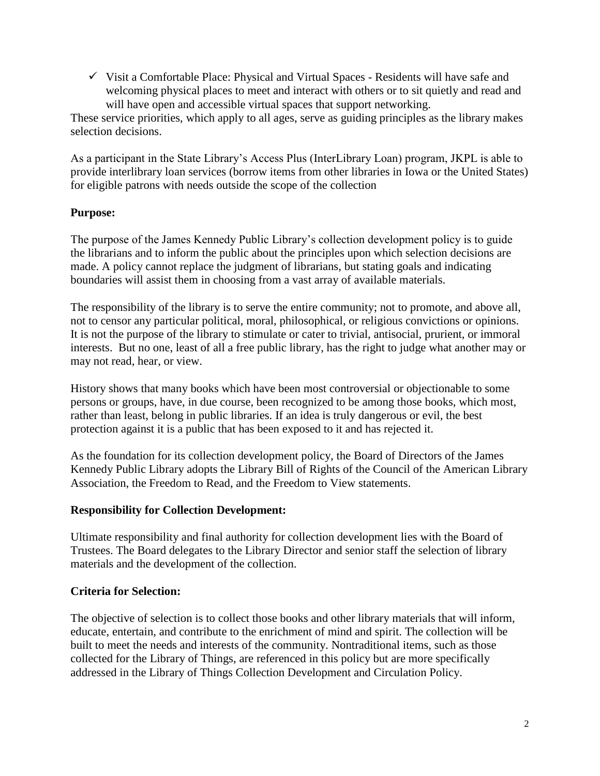$\checkmark$  Visit a Comfortable Place: Physical and Virtual Spaces - Residents will have safe and welcoming physical places to meet and interact with others or to sit quietly and read and will have open and accessible virtual spaces that support networking.

These service priorities, which apply to all ages, serve as guiding principles as the library makes selection decisions.

As a participant in the State Library's Access Plus (InterLibrary Loan) program, JKPL is able to provide interlibrary loan services (borrow items from other libraries in Iowa or the United States) for eligible patrons with needs outside the scope of the collection

## **Purpose:**

The purpose of the James Kennedy Public Library's collection development policy is to guide the librarians and to inform the public about the principles upon which selection decisions are made. A policy cannot replace the judgment of librarians, but stating goals and indicating boundaries will assist them in choosing from a vast array of available materials.

The responsibility of the library is to serve the entire community; not to promote, and above all, not to censor any particular political, moral, philosophical, or religious convictions or opinions. It is not the purpose of the library to stimulate or cater to trivial, antisocial, prurient, or immoral interests. But no one, least of all a free public library, has the right to judge what another may or may not read, hear, or view.

History shows that many books which have been most controversial or objectionable to some persons or groups, have, in due course, been recognized to be among those books, which most, rather than least, belong in public libraries. If an idea is truly dangerous or evil, the best protection against it is a public that has been exposed to it and has rejected it.

As the foundation for its collection development policy, the Board of Directors of the James Kennedy Public Library adopts the Library Bill of Rights of the Council of the American Library Association, the Freedom to Read, and the Freedom to View statements.

### **Responsibility for Collection Development:**

Ultimate responsibility and final authority for collection development lies with the Board of Trustees. The Board delegates to the Library Director and senior staff the selection of library materials and the development of the collection.

### **Criteria for Selection:**

The objective of selection is to collect those books and other library materials that will inform, educate, entertain, and contribute to the enrichment of mind and spirit. The collection will be built to meet the needs and interests of the community. Nontraditional items, such as those collected for the Library of Things, are referenced in this policy but are more specifically addressed in the Library of Things Collection Development and Circulation Policy.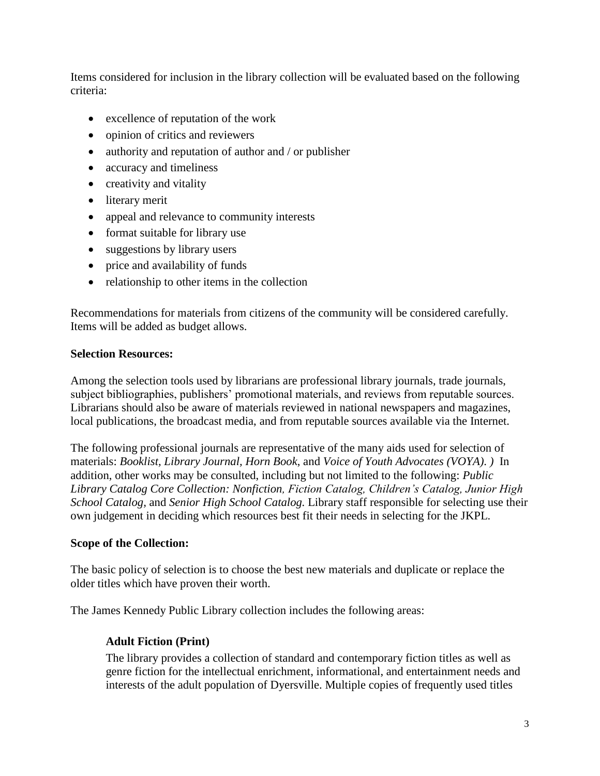Items considered for inclusion in the library collection will be evaluated based on the following criteria:

- excellence of reputation of the work
- opinion of critics and reviewers
- authority and reputation of author and / or publisher
- accuracy and timeliness
- creativity and vitality
- literary merit
- appeal and relevance to community interests
- format suitable for library use
- suggestions by library users
- price and availability of funds
- relationship to other items in the collection

Recommendations for materials from citizens of the community will be considered carefully. Items will be added as budget allows.

## **Selection Resources:**

Among the selection tools used by librarians are professional library journals, trade journals, subject bibliographies, publishers' promotional materials, and reviews from reputable sources. Librarians should also be aware of materials reviewed in national newspapers and magazines, local publications, the broadcast media, and from reputable sources available via the Internet.

The following professional journals are representative of the many aids used for selection of materials: *Booklist, Library Journal, Horn Book*, and *Voice of Youth Advocates (VOYA)*. *)* In addition, other works may be consulted, including but not limited to the following: *Public Library Catalog Core Collection: Nonfiction, Fiction Catalog, Children's Catalog, Junior High School Catalog,* and *Senior High School Catalog.* Library staff responsible for selecting use their own judgement in deciding which resources best fit their needs in selecting for the JKPL.

## **Scope of the Collection:**

The basic policy of selection is to choose the best new materials and duplicate or replace the older titles which have proven their worth.

The James Kennedy Public Library collection includes the following areas:

## **Adult Fiction (Print)**

The library provides a collection of standard and contemporary fiction titles as well as genre fiction for the intellectual enrichment, informational, and entertainment needs and interests of the adult population of Dyersville. Multiple copies of frequently used titles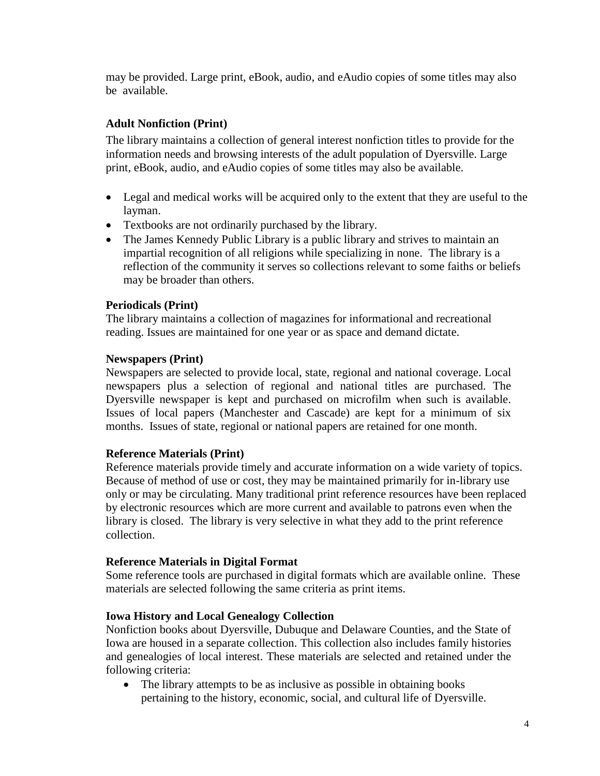may be provided. Large print, eBook, audio, and eAudio copies of some titles may also be available.

# **Adult Nonfiction (Print)**

The library maintains a collection of general interest nonfiction titles to provide for the information needs and browsing interests of the adult population of Dyersville. Large print, eBook, audio, and eAudio copies of some titles may also be available.

- Legal and medical works will be acquired only to the extent that they are useful to the layman.
- Textbooks are not ordinarily purchased by the library.
- The James Kennedy Public Library is a public library and strives to maintain an impartial recognition of all religions while specializing in none. The library is a reflection of the community it serves so collections relevant to some faiths or beliefs may be broader than others.

## **Periodicals (Print)**

The library maintains a collection of magazines for informational and recreational reading. Issues are maintained for one year or as space and demand dictate.

## **Newspapers (Print)**

Newspapers are selected to provide local, state, regional and national coverage. Local newspapers plus a selection of regional and national titles are purchased. The Dyersville newspaper is kept and purchased on microfilm when such is available. Issues of local papers (Manchester and Cascade) are kept for a minimum of six months. Issues of state, regional or national papers are retained for one month.

### **Reference Materials (Print)**

Reference materials provide timely and accurate information on a wide variety of topics. Because of method of use or cost, they may be maintained primarily for in-library use only or may be circulating. Many traditional print reference resources have been replaced by electronic resources which are more current and available to patrons even when the library is closed. The library is very selective in what they add to the print reference collection.

### **Reference Materials in Digital Format**

Some reference tools are purchased in digital formats which are available online. These materials are selected following the same criteria as print items.

### **Iowa History and Local Genealogy Collection**

Nonfiction books about Dyersville, Dubuque and Delaware Counties, and the State of Iowa are housed in a separate collection. This collection also includes family histories and genealogies of local interest. These materials are selected and retained under the following criteria:

• The library attempts to be as inclusive as possible in obtaining books pertaining to the history, economic, social, and cultural life of Dyersville.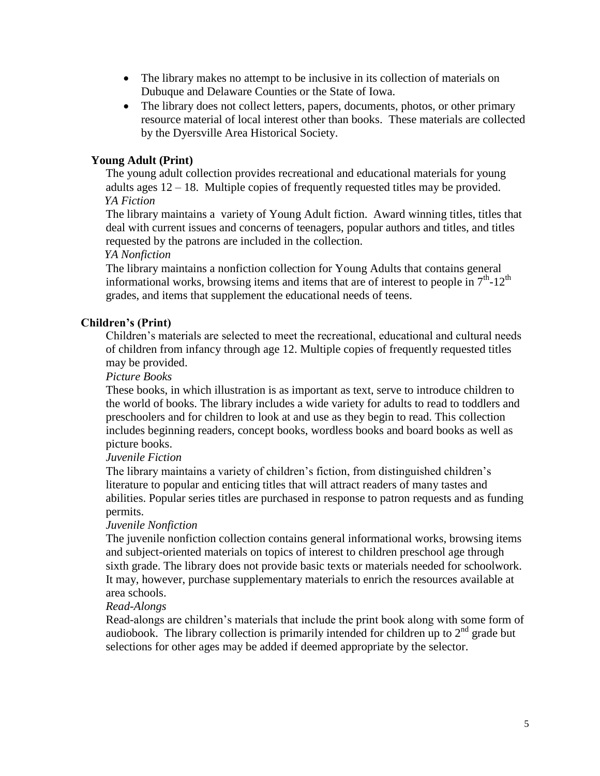- The library makes no attempt to be inclusive in its collection of materials on Dubuque and Delaware Counties or the State of Iowa.
- The library does not collect letters, papers, documents, photos, or other primary resource material of local interest other than books. These materials are collected by the Dyersville Area Historical Society.

## **Young Adult (Print)**

The young adult collection provides recreational and educational materials for young adults ages 12 – 18. Multiple copies of frequently requested titles may be provided. *YA Fiction*

The library maintains a variety of Young Adult fiction. Award winning titles, titles that deal with current issues and concerns of teenagers, popular authors and titles, and titles requested by the patrons are included in the collection.

#### *YA Nonfiction*

The library maintains a nonfiction collection for Young Adults that contains general informational works, browsing items and items that are of interest to people in  $7<sup>th</sup>$ -12<sup>th</sup> grades, and items that supplement the educational needs of teens.

## **Children's (Print)**

Children's materials are selected to meet the recreational, educational and cultural needs of children from infancy through age 12. Multiple copies of frequently requested titles may be provided.

*Picture Books*

These books, in which illustration is as important as text, serve to introduce children to the world of books. The library includes a wide variety for adults to read to toddlers and preschoolers and for children to look at and use as they begin to read. This collection includes beginning readers, concept books, wordless books and board books as well as picture books.

### *Juvenile Fiction*

The library maintains a variety of children's fiction, from distinguished children's literature to popular and enticing titles that will attract readers of many tastes and abilities. Popular series titles are purchased in response to patron requests and as funding permits.

### *Juvenile Nonfiction*

The juvenile nonfiction collection contains general informational works, browsing items and subject-oriented materials on topics of interest to children preschool age through sixth grade. The library does not provide basic texts or materials needed for schoolwork. It may, however, purchase supplementary materials to enrich the resources available at area schools.

### *Read-Alongs*

Read-alongs are children's materials that include the print book along with some form of audiobook. The library collection is primarily intended for children up to  $2<sup>nd</sup>$  grade but selections for other ages may be added if deemed appropriate by the selector.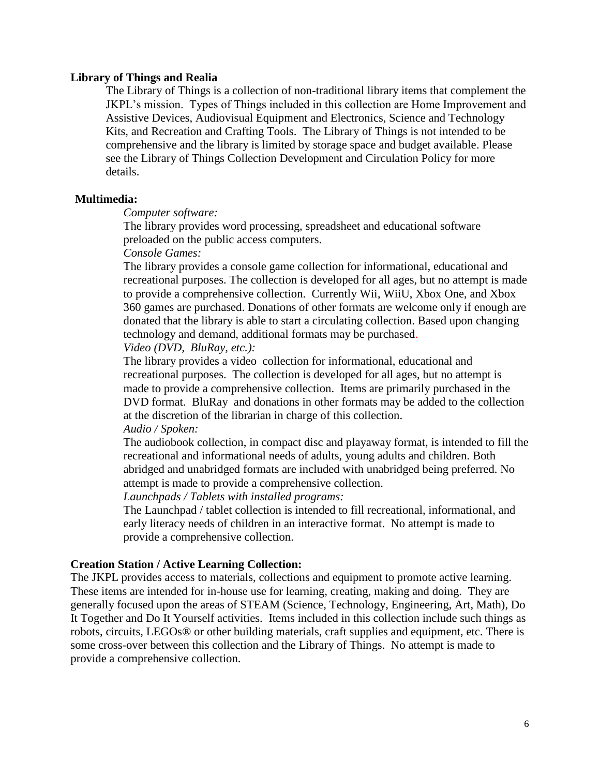#### **Library of Things and Realia**

The Library of Things is a collection of non-traditional library items that complement the JKPL's mission. Types of Things included in this collection are Home Improvement and Assistive Devices, Audiovisual Equipment and Electronics, Science and Technology Kits, and Recreation and Crafting Tools. The Library of Things is not intended to be comprehensive and the library is limited by storage space and budget available. Please see the Library of Things Collection Development and Circulation Policy for more details.

#### **Multimedia:**

*Computer software:*

The library provides word processing, spreadsheet and educational software preloaded on the public access computers.

*Console Games:* 

The library provides a console game collection for informational, educational and recreational purposes. The collection is developed for all ages, but no attempt is made to provide a comprehensive collection. Currently Wii, WiiU, Xbox One, and Xbox 360 games are purchased. Donations of other formats are welcome only if enough are donated that the library is able to start a circulating collection. Based upon changing technology and demand, additional formats may be purchased.

*Video (DVD, BluRay, etc.):*

The library provides a video collection for informational, educational and recreational purposes. The collection is developed for all ages, but no attempt is made to provide a comprehensive collection. Items are primarily purchased in the DVD format. BluRay and donations in other formats may be added to the collection at the discretion of the librarian in charge of this collection.

*Audio / Spoken:*

The audiobook collection, in compact disc and playaway format, is intended to fill the recreational and informational needs of adults, young adults and children. Both abridged and unabridged formats are included with unabridged being preferred. No attempt is made to provide a comprehensive collection.

*Launchpads / Tablets with installed programs:*

The Launchpad / tablet collection is intended to fill recreational, informational, and early literacy needs of children in an interactive format. No attempt is made to provide a comprehensive collection.

#### **Creation Station / Active Learning Collection:**

The JKPL provides access to materials, collections and equipment to promote active learning. These items are intended for in-house use for learning, creating, making and doing. They are generally focused upon the areas of STEAM (Science, Technology, Engineering, Art, Math), Do It Together and Do It Yourself activities. Items included in this collection include such things as robots, circuits, LEGOs® or other building materials, craft supplies and equipment, etc. There is some cross-over between this collection and the Library of Things. No attempt is made to provide a comprehensive collection.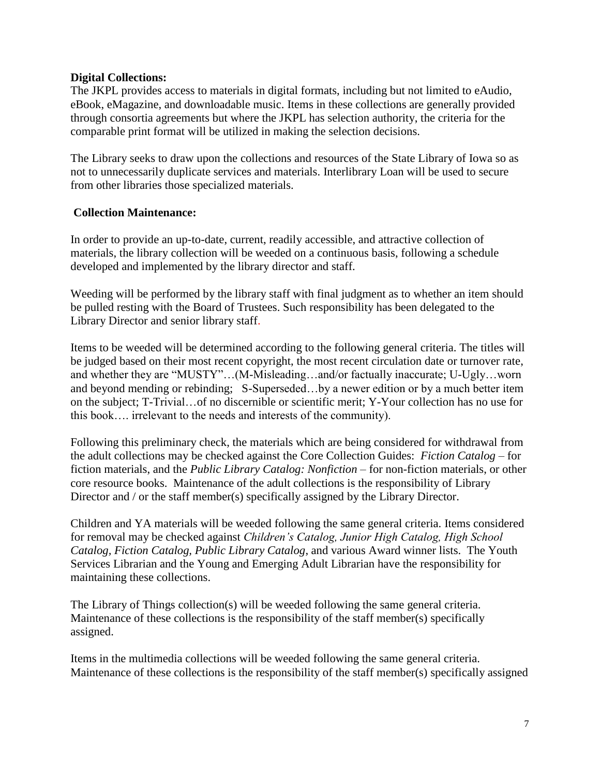### **Digital Collections:**

The JKPL provides access to materials in digital formats, including but not limited to eAudio, eBook, eMagazine, and downloadable music. Items in these collections are generally provided through consortia agreements but where the JKPL has selection authority, the criteria for the comparable print format will be utilized in making the selection decisions.

The Library seeks to draw upon the collections and resources of the State Library of Iowa so as not to unnecessarily duplicate services and materials. Interlibrary Loan will be used to secure from other libraries those specialized materials.

## **Collection Maintenance:**

In order to provide an up-to-date, current, readily accessible, and attractive collection of materials, the library collection will be weeded on a continuous basis, following a schedule developed and implemented by the library director and staff.

Weeding will be performed by the library staff with final judgment as to whether an item should be pulled resting with the Board of Trustees. Such responsibility has been delegated to the Library Director and senior library staff.

Items to be weeded will be determined according to the following general criteria. The titles will be judged based on their most recent copyright, the most recent circulation date or turnover rate, and whether they are "MUSTY"…(M-Misleading…and/or factually inaccurate; U-Ugly…worn and beyond mending or rebinding; S-Superseded…by a newer edition or by a much better item on the subject; T-Trivial…of no discernible or scientific merit; Y-Your collection has no use for this book…. irrelevant to the needs and interests of the community).

Following this preliminary check, the materials which are being considered for withdrawal from the adult collections may be checked against the Core Collection Guides: *Fiction Catalog* – for fiction materials, and the *Public Library Catalog: Nonfiction* – for non-fiction materials, or other core resource books. Maintenance of the adult collections is the responsibility of Library Director and / or the staff member(s) specifically assigned by the Library Director.

Children and YA materials will be weeded following the same general criteria. Items considered for removal may be checked against *Children's Catalog, Junior High Catalog, High School Catalog, Fiction Catalog, Public Library Catalog*, and various Award winner lists. The Youth Services Librarian and the Young and Emerging Adult Librarian have the responsibility for maintaining these collections.

The Library of Things collection(s) will be weeded following the same general criteria. Maintenance of these collections is the responsibility of the staff member(s) specifically assigned.

Items in the multimedia collections will be weeded following the same general criteria. Maintenance of these collections is the responsibility of the staff member(s) specifically assigned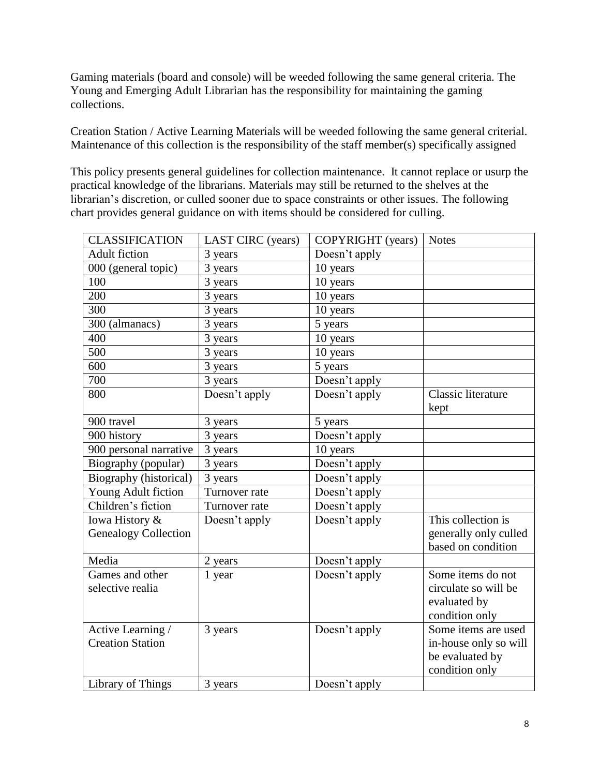Gaming materials (board and console) will be weeded following the same general criteria. The Young and Emerging Adult Librarian has the responsibility for maintaining the gaming collections.

Creation Station / Active Learning Materials will be weeded following the same general criterial. Maintenance of this collection is the responsibility of the staff member(s) specifically assigned

This policy presents general guidelines for collection maintenance. It cannot replace or usurp the practical knowledge of the librarians. Materials may still be returned to the shelves at the librarian's discretion, or culled sooner due to space constraints or other issues. The following chart provides general guidance on with items should be considered for culling.

| <b>CLASSIFICATION</b>       | LAST CIRC (years) | COPYRIGHT (years) | <b>Notes</b>          |
|-----------------------------|-------------------|-------------------|-----------------------|
| <b>Adult fiction</b>        | 3 years           | Doesn't apply     |                       |
| 000 (general topic)         | 3 years           | 10 years          |                       |
| 100                         | 3 years           | 10 years          |                       |
| 200                         | 3 years           | 10 years          |                       |
| 300                         | 3 years           | 10 years          |                       |
| 300 (almanacs)              | 3 years           | 5 years           |                       |
| 400                         | 3 years           | 10 years          |                       |
| 500                         | 3 years           | 10 years          |                       |
| 600                         | 3 years           | 5 years           |                       |
| 700                         | 3 years           | Doesn't apply     |                       |
| 800                         | Doesn't apply     | Doesn't apply     | Classic literature    |
|                             |                   |                   | kept                  |
| 900 travel                  | 3 years           | 5 years           |                       |
| 900 history                 | 3 years           | Doesn't apply     |                       |
| 900 personal narrative      | 3 years           | 10 years          |                       |
| Biography (popular)         | 3 years           | Doesn't apply     |                       |
| Biography (historical)      | 3 years           | Doesn't apply     |                       |
| Young Adult fiction         | Turnover rate     | Doesn't apply     |                       |
| Children's fiction          | Turnover rate     | Doesn't apply     |                       |
| Iowa History &              | Doesn't apply     | Doesn't apply     | This collection is    |
| <b>Genealogy Collection</b> |                   |                   | generally only culled |
|                             |                   |                   | based on condition    |
| Media                       | 2 years           | Doesn't apply     |                       |
| Games and other             | 1 year            | Doesn't apply     | Some items do not     |
| selective realia            |                   |                   | circulate so will be  |
|                             |                   |                   | evaluated by          |
|                             |                   |                   | condition only        |
| Active Learning /           | 3 years           | Doesn't apply     | Some items are used   |
| <b>Creation Station</b>     |                   |                   | in-house only so will |
|                             |                   |                   | be evaluated by       |
|                             |                   |                   | condition only        |
| Library of Things           | 3 years           | Doesn't apply     |                       |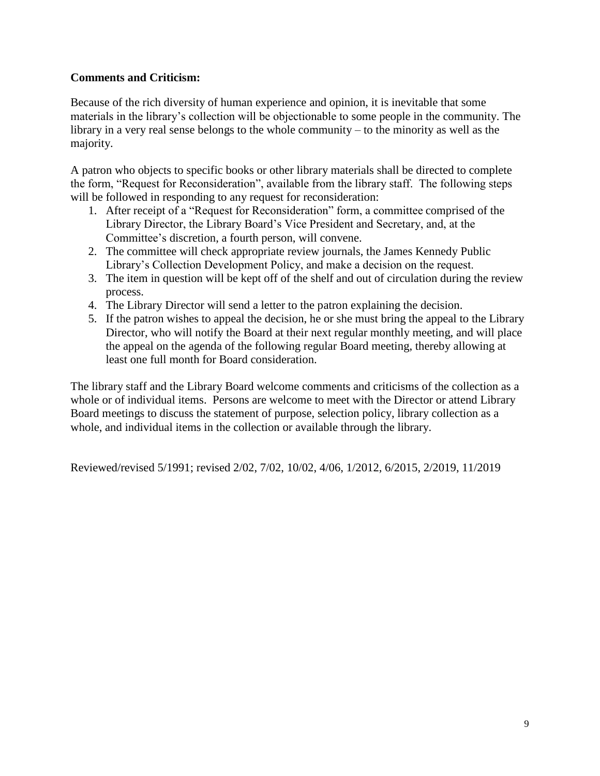# **Comments and Criticism:**

Because of the rich diversity of human experience and opinion, it is inevitable that some materials in the library's collection will be objectionable to some people in the community. The library in a very real sense belongs to the whole community – to the minority as well as the majority.

A patron who objects to specific books or other library materials shall be directed to complete the form, "Request for Reconsideration", available from the library staff. The following steps will be followed in responding to any request for reconsideration:

- 1. After receipt of a "Request for Reconsideration" form, a committee comprised of the Library Director, the Library Board's Vice President and Secretary, and, at the Committee's discretion, a fourth person, will convene.
- 2. The committee will check appropriate review journals, the James Kennedy Public Library's Collection Development Policy, and make a decision on the request.
- 3. The item in question will be kept off of the shelf and out of circulation during the review process.
- 4. The Library Director will send a letter to the patron explaining the decision.
- 5. If the patron wishes to appeal the decision, he or she must bring the appeal to the Library Director, who will notify the Board at their next regular monthly meeting, and will place the appeal on the agenda of the following regular Board meeting, thereby allowing at least one full month for Board consideration.

The library staff and the Library Board welcome comments and criticisms of the collection as a whole or of individual items. Persons are welcome to meet with the Director or attend Library Board meetings to discuss the statement of purpose, selection policy, library collection as a whole, and individual items in the collection or available through the library.

Reviewed/revised 5/1991; revised 2/02, 7/02, 10/02, 4/06, 1/2012, 6/2015, 2/2019, 11/2019